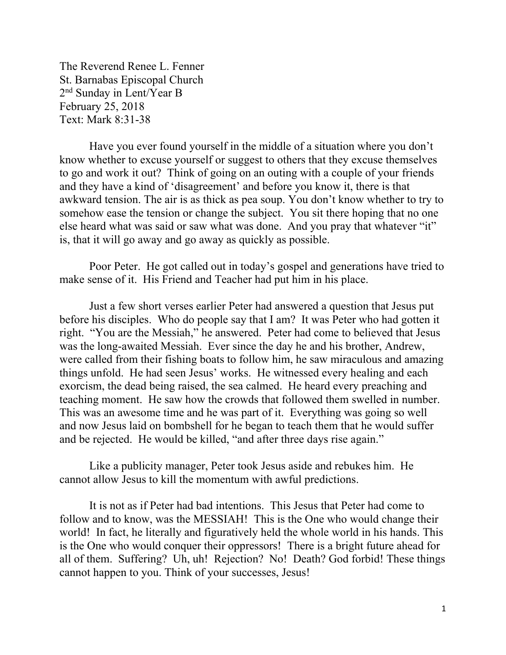The Reverend Renee L. Fenner St. Barnabas Episcopal Church 2nd Sunday in Lent/Year B February 25, 2018 Text: Mark 8:31-38

 Have you ever found yourself in the middle of a situation where you don't know whether to excuse yourself or suggest to others that they excuse themselves to go and work it out? Think of going on an outing with a couple of your friends and they have a kind of 'disagreement' and before you know it, there is that awkward tension. The air is as thick as pea soup. You don't know whether to try to somehow ease the tension or change the subject. You sit there hoping that no one else heard what was said or saw what was done. And you pray that whatever "it" is, that it will go away and go away as quickly as possible.

Poor Peter. He got called out in today's gospel and generations have tried to make sense of it. His Friend and Teacher had put him in his place.

Just a few short verses earlier Peter had answered a question that Jesus put before his disciples. Who do people say that I am? It was Peter who had gotten it right. "You are the Messiah," he answered. Peter had come to believed that Jesus was the long-awaited Messiah. Ever since the day he and his brother, Andrew, were called from their fishing boats to follow him, he saw miraculous and amazing things unfold. He had seen Jesus' works. He witnessed every healing and each exorcism, the dead being raised, the sea calmed. He heard every preaching and teaching moment. He saw how the crowds that followed them swelled in number. This was an awesome time and he was part of it. Everything was going so well and now Jesus laid on bombshell for he began to teach them that he would suffer and be rejected. He would be killed, "and after three days rise again."

Like a publicity manager, Peter took Jesus aside and rebukes him. He cannot allow Jesus to kill the momentum with awful predictions.

It is not as if Peter had bad intentions. This Jesus that Peter had come to follow and to know, was the MESSIAH! This is the One who would change their world! In fact, he literally and figuratively held the whole world in his hands. This is the One who would conquer their oppressors! There is a bright future ahead for all of them. Suffering? Uh, uh! Rejection? No! Death? God forbid! These things cannot happen to you. Think of your successes, Jesus!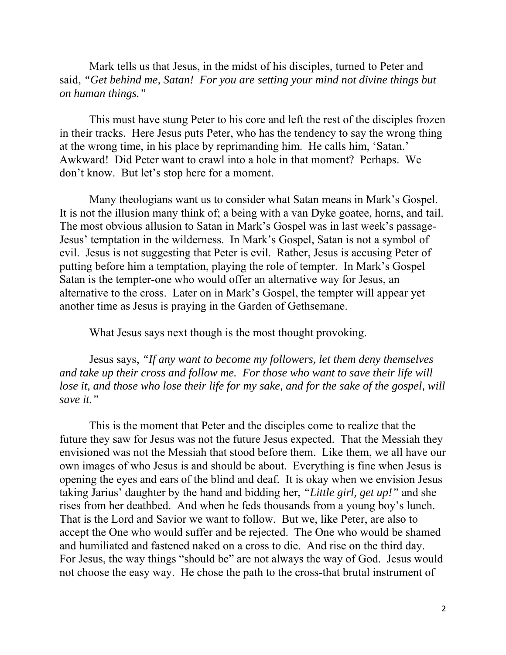Mark tells us that Jesus, in the midst of his disciples, turned to Peter and said, *"Get behind me, Satan! For you are setting your mind not divine things but on human things."* 

This must have stung Peter to his core and left the rest of the disciples frozen in their tracks. Here Jesus puts Peter, who has the tendency to say the wrong thing at the wrong time, in his place by reprimanding him. He calls him, 'Satan.' Awkward! Did Peter want to crawl into a hole in that moment? Perhaps. We don't know. But let's stop here for a moment.

Many theologians want us to consider what Satan means in Mark's Gospel. It is not the illusion many think of; a being with a van Dyke goatee, horns, and tail. The most obvious allusion to Satan in Mark's Gospel was in last week's passage-Jesus' temptation in the wilderness. In Mark's Gospel, Satan is not a symbol of evil. Jesus is not suggesting that Peter is evil. Rather, Jesus is accusing Peter of putting before him a temptation, playing the role of tempter. In Mark's Gospel Satan is the tempter-one who would offer an alternative way for Jesus, an alternative to the cross. Later on in Mark's Gospel, the tempter will appear yet another time as Jesus is praying in the Garden of Gethsemane.

What Jesus says next though is the most thought provoking.

Jesus says, *"If any want to become my followers, let them deny themselves and take up their cross and follow me. For those who want to save their life will lose it, and those who lose their life for my sake, and for the sake of the gospel, will save it."* 

This is the moment that Peter and the disciples come to realize that the future they saw for Jesus was not the future Jesus expected. That the Messiah they envisioned was not the Messiah that stood before them. Like them, we all have our own images of who Jesus is and should be about. Everything is fine when Jesus is opening the eyes and ears of the blind and deaf. It is okay when we envision Jesus taking Jarius' daughter by the hand and bidding her, *"Little girl, get up!"* and she rises from her deathbed. And when he feds thousands from a young boy's lunch. That is the Lord and Savior we want to follow. But we, like Peter, are also to accept the One who would suffer and be rejected. The One who would be shamed and humiliated and fastened naked on a cross to die. And rise on the third day. For Jesus, the way things "should be" are not always the way of God. Jesus would not choose the easy way. He chose the path to the cross-that brutal instrument of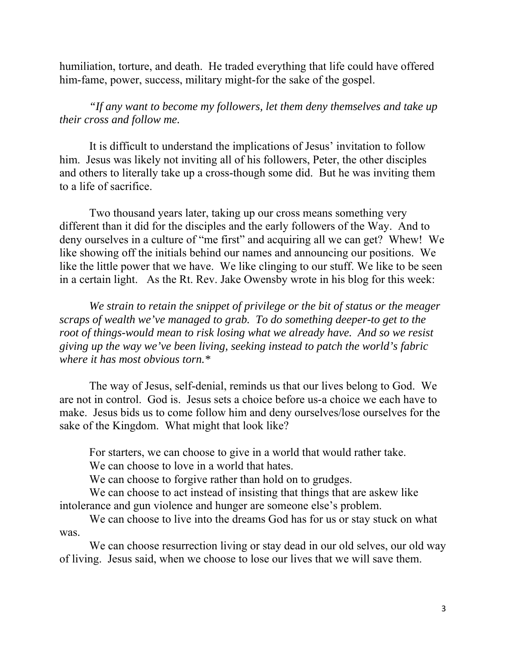humiliation, torture, and death. He traded everything that life could have offered him-fame, power, success, military might-for the sake of the gospel.

*"If any want to become my followers, let them deny themselves and take up their cross and follow me.* 

It is difficult to understand the implications of Jesus' invitation to follow him. Jesus was likely not inviting all of his followers, Peter, the other disciples and others to literally take up a cross-though some did. But he was inviting them to a life of sacrifice.

Two thousand years later, taking up our cross means something very different than it did for the disciples and the early followers of the Way. And to deny ourselves in a culture of "me first" and acquiring all we can get? Whew! We like showing off the initials behind our names and announcing our positions. We like the little power that we have. We like clinging to our stuff. We like to be seen in a certain light. As the Rt. Rev. Jake Owensby wrote in his blog for this week:

*We strain to retain the snippet of privilege or the bit of status or the meager scraps of wealth we've managed to grab. To do something deeper-to get to the root of things-would mean to risk losing what we already have. And so we resist giving up the way we've been living, seeking instead to patch the world's fabric where it has most obvious torn.\** 

The way of Jesus, self-denial, reminds us that our lives belong to God. We are not in control. God is. Jesus sets a choice before us-a choice we each have to make. Jesus bids us to come follow him and deny ourselves/lose ourselves for the sake of the Kingdom. What might that look like?

For starters, we can choose to give in a world that would rather take. We can choose to love in a world that hates.

We can choose to forgive rather than hold on to grudges.

We can choose to act instead of insisting that things that are askew like intolerance and gun violence and hunger are someone else's problem.

We can choose to live into the dreams God has for us or stay stuck on what was.

We can choose resurrection living or stay dead in our old selves, our old way of living. Jesus said, when we choose to lose our lives that we will save them.